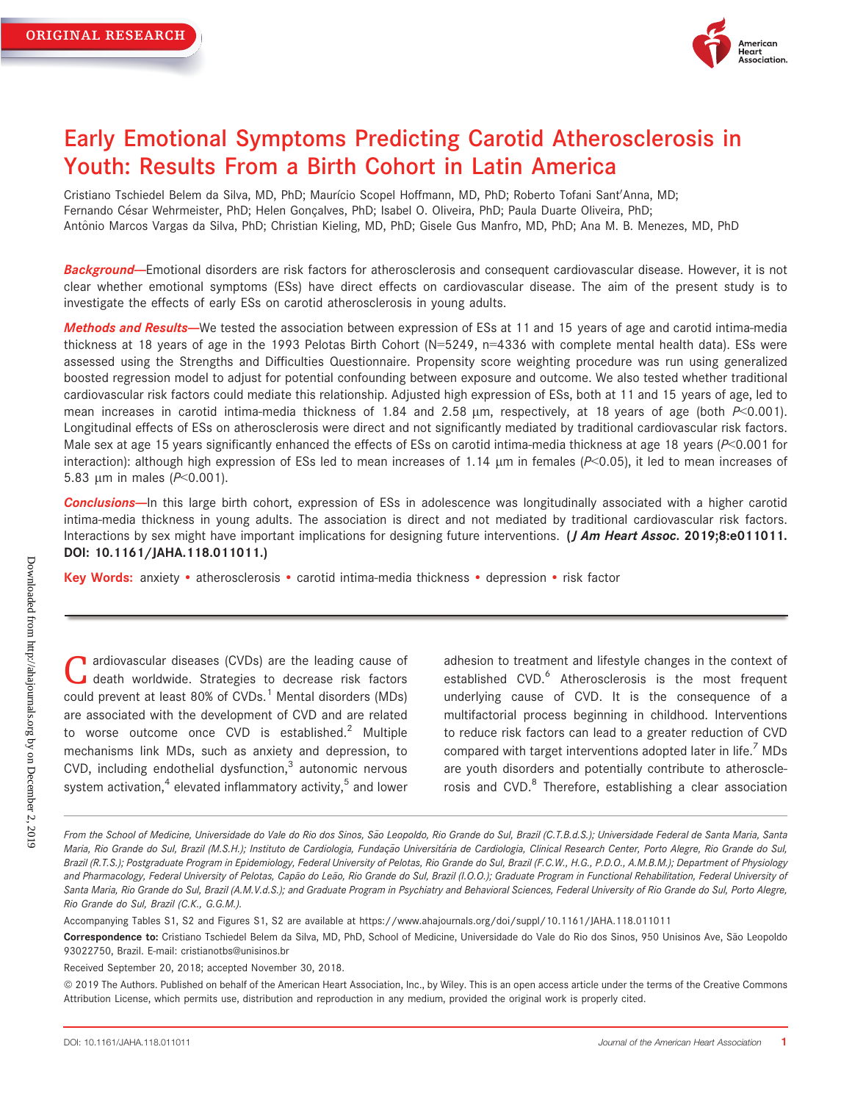

## Early Emotional Symptoms Predicting Carotid Atherosclerosis in Youth: Results From a Birth Cohort in Latin America

Cristiano Tschiedel Belem da Silva, MD, PhD; Maurício Scopel Hoffmann, MD, PhD; Roberto Tofani Sant'Anna, MD; Fernando Cesar Wehrmeister, PhD; Helen Goncalves, PhD; Isabel O. Oliveira, PhD; Paula Duarte Oliveira, PhD; Antônio Marcos Vargas da Silva, PhD; Christian Kieling, MD, PhD; Gisele Gus Manfro, MD, PhD; Ana M. B. Menezes, MD, PhD

Background-Emotional disorders are risk factors for atherosclerosis and consequent cardiovascular disease. However, it is not clear whether emotional symptoms (ESs) have direct effects on cardiovascular disease. The aim of the present study is to investigate the effects of early ESs on carotid atherosclerosis in young adults.

Methods and Results-We tested the association between expression of ESs at 11 and 15 years of age and carotid intima-media thickness at 18 years of age in the 1993 Pelotas Birth Cohort (N=5249, n=4336 with complete mental health data). ESs were assessed using the Strengths and Difficulties Questionnaire. Propensity score weighting procedure was run using generalized boosted regression model to adjust for potential confounding between exposure and outcome. We also tested whether traditional cardiovascular risk factors could mediate this relationship. Adjusted high expression of ESs, both at 11 and 15 years of age, led to mean increases in carotid intima-media thickness of 1.84 and 2.58  $\mu$ m, respectively, at 18 years of age (both P<0.001). Longitudinal effects of ESs on atherosclerosis were direct and not significantly mediated by traditional cardiovascular risk factors. Male sex at age 15 years significantly enhanced the effects of ESs on carotid intima-media thickness at age 18 years ( $P<0.001$  for interaction): although high expression of ESs led to mean increases of 1.14  $\mu$ m in females ( $P<0.05$ ), it led to mean increases of 5.83  $\mu$ m in males ( $P < 0.001$ ).

Conclusions--In this large birth cohort, expression of ESs in adolescence was longitudinally associated with a higher carotid intima-media thickness in young adults. The association is direct and not mediated by traditional cardiovascular risk factors. Interactions by sex might have important implications for designing future interventions. (*J Am Heart Assoc.* 2019;8:e011011. DOI: [10.1161/JAHA.118.011011.](info:doi/10.1161/JAHA.118.011011))

Key Words: anxiety • atherosclerosis • carotid intima-media thickness • depression • risk factor

Cardiovascular diseases (CVDs) are the leading cause of<br>death worldwide. Strategies to decrease risk factors could prevent at least 80% of CVDs.<sup>1</sup> Mental disorders (MDs) are associated with the development of CVD and are related to worse outcome once CVD is established. $2$  Multiple mechanisms link MDs, such as anxiety and depression, to CVD, including endothelial dysfunction,<sup>3</sup> autonomic nervous system activation,<sup>4</sup> elevated inflammatory activity, $5$  and lower

adhesion to treatment and lifestyle changes in the context of established CVD.<sup>6</sup> Atherosclerosis is the most frequent underlying cause of CVD. It is the consequence of a multifactorial process beginning in childhood. Interventions to reduce risk factors can lead to a greater reduction of CVD compared with target interventions adopted later in life. $<sup>7</sup>$  MDs</sup> are youth disorders and potentially contribute to atherosclerosis and CVD.<sup>8</sup> Therefore, establishing a clear association

From the School of Medicine, Universidade do Vale do Rio dos Sinos, São Leopoldo, Rio Grande do Sul, Brazil (C.T.B.d.S.); Universidade Federal de Santa Maria, Santa Maria, Rio Grande do Sul, Brazil (M.S.H.); Instituto de Cardiologia, Fundação Universitária de Cardiologia, Clinical Research Center, Porto Alegre, Rio Grande do Sul, Brazil (R.T.S.); Postgraduate Program in Epidemiology, Federal University of Pelotas, Rio Grande do Sul, Brazil (F.C.W., H.G., P.D.O., A.M.B.M.); Department of Physiology and Pharmacology, Federal University of Pelotas, Capão do Leão, Rio Grande do Sul, Brazil (I.O.O.); Graduate Program in Functional Rehabilitation, Federal University of Santa Maria, Rio Grande do Sul, Brazil (A.M.V.d.S.); and Graduate Program in Psychiatry and Behavioral Sciences, Federal University of Rio Grande do Sul, Porto Alegre, Rio Grande do Sul, Brazil (C.K., G.G.M.).

Accompanying Tables S1, S2 and Figures S1, S2 are available at<https://www.ahajournals.org/doi/suppl/10.1161/JAHA.118.011011>

Correspondence to: Cristiano Tschiedel Belem da Silva, MD, PhD, School of Medicine, Universidade do Vale do Rio dos Sinos, 950 Unisinos Ave, São Leopoldo 93022750, Brazil. E-mail: [cristianotbs@unisinos.br](mailto:)

Received September 20, 2018; accepted November 30, 2018.

ª 2019 The Authors. Published on behalf of the American Heart Association, Inc., by Wiley. This is an open access article under the terms of the [Creative Commons](http://creativecommons.org/licenses/by/4.0/) [Attribution](http://creativecommons.org/licenses/by/4.0/) License, which permits use, distribution and reproduction in any medium, provided the original work is properly cited.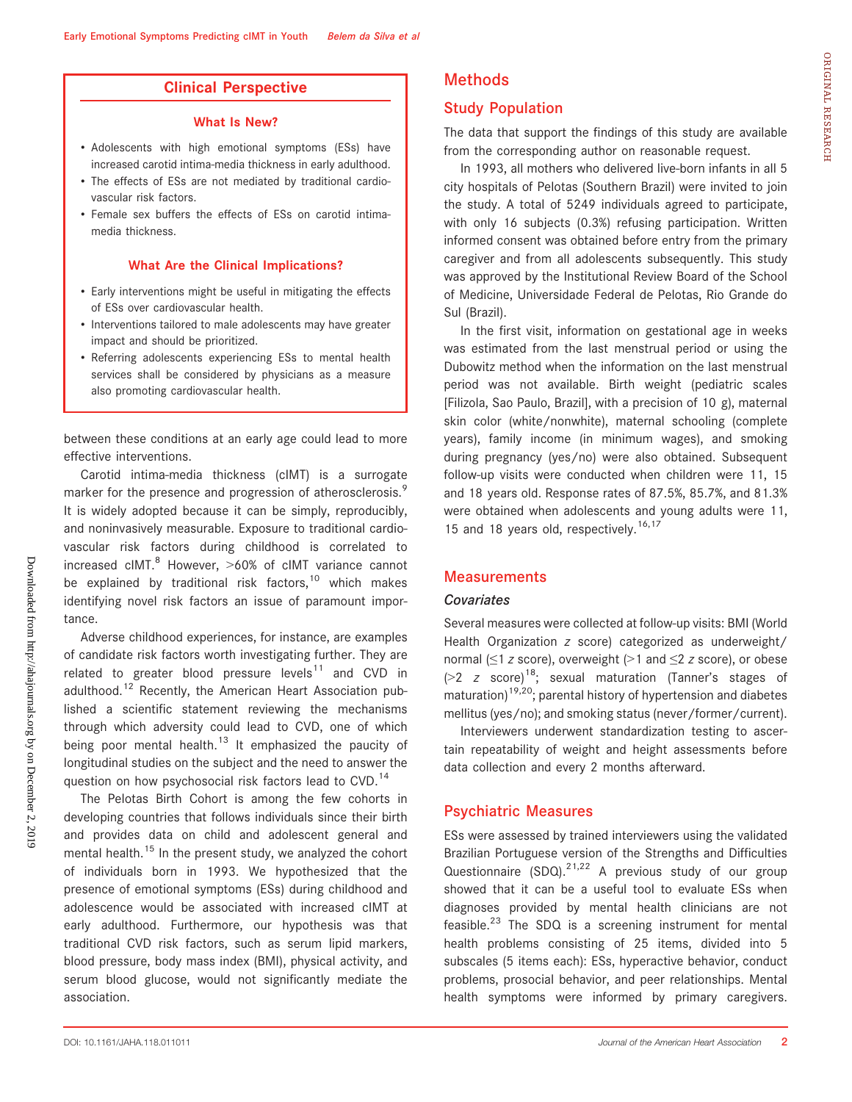#### Clinical Perspective

#### What Is New?

- Adolescents with high emotional symptoms (ESs) have increased carotid intima-media thickness in early adulthood.
- The effects of ESs are not mediated by traditional cardiovascular risk factors.
- Female sex buffers the effects of ESs on carotid intimamedia thickness.

#### What Are the Clinical Implications?

- Early interventions might be useful in mitigating the effects of ESs over cardiovascular health.
- Interventions tailored to male adolescents may have greater impact and should be prioritized.
- Referring adolescents experiencing ESs to mental health services shall be considered by physicians as a measure also promoting cardiovascular health.

between these conditions at an early age could lead to more effective interventions.

Carotid intima-media thickness (cIMT) is a surrogate marker for the presence and progression of atherosclerosis.<sup>9</sup> It is widely adopted because it can be simply, reproducibly, and noninvasively measurable. Exposure to traditional cardiovascular risk factors during childhood is correlated to increased cIMT. $8$  However,  $>60\%$  of cIMT variance cannot be explained by traditional risk factors,<sup>10</sup> which makes identifying novel risk factors an issue of paramount importance.

Adverse childhood experiences, for instance, are examples of candidate risk factors worth investigating further. They are related to greater blood pressure levels $^{11}$  and CVD in adulthood.<sup>12</sup> Recently, the American Heart Association published a scientific statement reviewing the mechanisms through which adversity could lead to CVD, one of which being poor mental health.<sup>13</sup> It emphasized the paucity of longitudinal studies on the subject and the need to answer the question on how psychosocial risk factors lead to CVD.<sup>14</sup>

The Pelotas Birth Cohort is among the few cohorts in developing countries that follows individuals since their birth and provides data on child and adolescent general and mental health.<sup>15</sup> In the present study, we analyzed the cohort of individuals born in 1993. We hypothesized that the presence of emotional symptoms (ESs) during childhood and adolescence would be associated with increased cIMT at early adulthood. Furthermore, our hypothesis was that traditional CVD risk factors, such as serum lipid markers, blood pressure, body mass index (BMI), physical activity, and serum blood glucose, would not significantly mediate the association.

## Methods

#### Study Population

The data that support the findings of this study are available from the corresponding author on reasonable request.

In 1993, all mothers who delivered live-born infants in all 5 city hospitals of Pelotas (Southern Brazil) were invited to join the study. A total of 5249 individuals agreed to participate, with only 16 subjects (0.3%) refusing participation. Written informed consent was obtained before entry from the primary caregiver and from all adolescents subsequently. This study was approved by the Institutional Review Board of the School of Medicine, Universidade Federal de Pelotas, Rio Grande do Sul (Brazil).

In the first visit, information on gestational age in weeks was estimated from the last menstrual period or using the Dubowitz method when the information on the last menstrual period was not available. Birth weight (pediatric scales [Filizola, Sao Paulo, Brazil], with a precision of 10 g), maternal skin color (white/nonwhite), maternal schooling (complete years), family income (in minimum wages), and smoking during pregnancy (yes/no) were also obtained. Subsequent follow-up visits were conducted when children were 11, 15 and 18 years old. Response rates of 87.5%, 85.7%, and 81.3% were obtained when adolescents and young adults were 11, 15 and 18 years old, respectively.<sup>16,17</sup>

#### **Measurements**

#### **Covariates**

Several measures were collected at follow-up visits: BMI (World Health Organization z score) categorized as underweight/ normal ( $\leq$ 1 z score), overweight (>1 and  $\leq$ 2 z score), or obese  $(>= 2 z$  score)<sup>18</sup>; sexual maturation (Tanner's stages of maturation)<sup>19,20</sup>; parental history of hypertension and diabetes mellitus (yes/no); and smoking status (never/former/current).

Interviewers underwent standardization testing to ascertain repeatability of weight and height assessments before data collection and every 2 months afterward.

#### Psychiatric Measures

ESs were assessed by trained interviewers using the validated Brazilian Portuguese version of the Strengths and Difficulties Questionnaire  $(SDQ).^{21,22}$  A previous study of our group showed that it can be a useful tool to evaluate ESs when diagnoses provided by mental health clinicians are not feasible.<sup>23</sup> The SDQ is a screening instrument for mental health problems consisting of 25 items, divided into 5 subscales (5 items each): ESs, hyperactive behavior, conduct problems, prosocial behavior, and peer relationships. Mental health symptoms were informed by primary caregivers.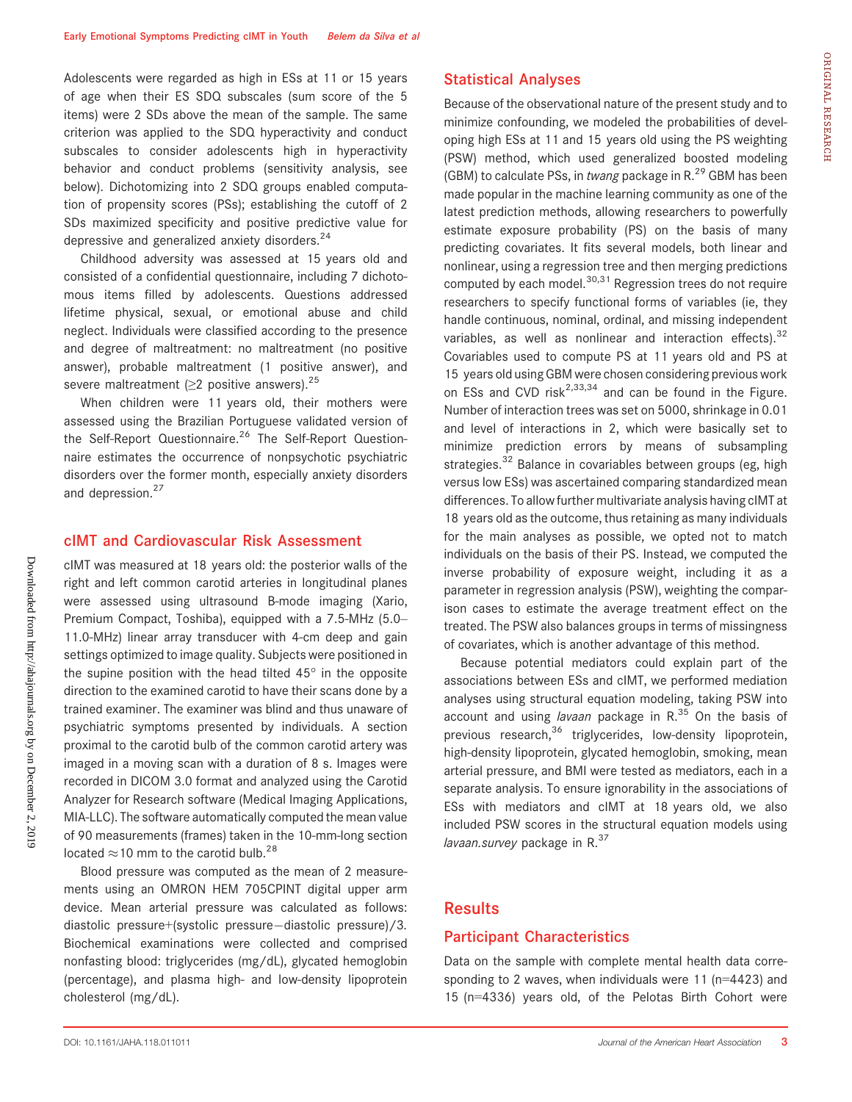Adolescents were regarded as high in ESs at 11 or 15 years of age when their ES SDQ subscales (sum score of the 5 items) were 2 SDs above the mean of the sample. The same criterion was applied to the SDQ hyperactivity and conduct subscales to consider adolescents high in hyperactivity behavior and conduct problems (sensitivity analysis, see below). Dichotomizing into 2 SDQ groups enabled computation of propensity scores (PSs); establishing the cutoff of 2 SDs maximized specificity and positive predictive value for depressive and generalized anxiety disorders.<sup>24</sup>

Childhood adversity was assessed at 15 years old and consisted of a confidential questionnaire, including 7 dichotomous items filled by adolescents. Questions addressed lifetime physical, sexual, or emotional abuse and child neglect. Individuals were classified according to the presence and degree of maltreatment: no maltreatment (no positive answer), probable maltreatment (1 positive answer), and severe maltreatment ( $\geq$ 2 positive answers).<sup>25</sup>

When children were 11 years old, their mothers were assessed using the Brazilian Portuguese validated version of the Self-Report Questionnaire.<sup>26</sup> The Self-Report Questionnaire estimates the occurrence of nonpsychotic psychiatric disorders over the former month, especially anxiety disorders and depression.<sup>27</sup>

#### cIMT and Cardiovascular Risk Assessment

cIMT was measured at 18 years old: the posterior walls of the right and left common carotid arteries in longitudinal planes were assessed using ultrasound B-mode imaging (Xario, Premium Compact, Toshiba), equipped with a 7.5-MHz (5.0– 11.0-MHz) linear array transducer with 4-cm deep and gain settings optimized to image quality. Subjects were positioned in the supine position with the head tilted 45° in the opposite direction to the examined carotid to have their scans done by a trained examiner. The examiner was blind and thus unaware of psychiatric symptoms presented by individuals. A section proximal to the carotid bulb of the common carotid artery was imaged in a moving scan with a duration of 8 s. Images were recorded in DICOM 3.0 format and analyzed using the Carotid Analyzer for Research software (Medical Imaging Applications, MIA-LLC). The software automatically computed the mean value of 90 measurements (frames) taken in the 10-mm-long section located  $\approx$  10 mm to the carotid bulb.<sup>28</sup>

Blood pressure was computed as the mean of 2 measurements using an OMRON HEM 705CPINT digital upper arm device. Mean arterial pressure was calculated as follows: diastolic pressure+(systolic pressure-diastolic pressure)/3. Biochemical examinations were collected and comprised nonfasting blood: triglycerides (mg/dL), glycated hemoglobin (percentage), and plasma high- and low-density lipoprotein cholesterol (mg/dL).

#### Statistical Analyses

Because of the observational nature of the present study and to minimize confounding, we modeled the probabilities of developing high ESs at 11 and 15 years old using the PS weighting (PSW) method, which used generalized boosted modeling (GBM) to calculate PSs, in twang package in  $R<sup>29</sup>$  GBM has been made popular in the machine learning community as one of the latest prediction methods, allowing researchers to powerfully estimate exposure probability (PS) on the basis of many predicting covariates. It fits several models, both linear and nonlinear, using a regression tree and then merging predictions computed by each model. $30,31$  Regression trees do not require researchers to specify functional forms of variables (ie, they handle continuous, nominal, ordinal, and missing independent variables, as well as nonlinear and interaction effects). $32$ Covariables used to compute PS at 11 years old and PS at 15 years old using GBM were chosen considering previous work on ESs and CVD risk<sup>2,33,34</sup> and can be found in the Figure. Number of interaction trees was set on 5000, shrinkage in 0.01 and level of interactions in 2, which were basically set to minimize prediction errors by means of subsampling strategies.<sup>32</sup> Balance in covariables between groups (eg, high versus low ESs) was ascertained comparing standardized mean differences. To allow further multivariate analysis having cIMT at 18 years old as the outcome, thus retaining as many individuals for the main analyses as possible, we opted not to match individuals on the basis of their PS. Instead, we computed the inverse probability of exposure weight, including it as a parameter in regression analysis (PSW), weighting the comparison cases to estimate the average treatment effect on the treated. The PSW also balances groups in terms of missingness of covariates, which is another advantage of this method.

Because potential mediators could explain part of the associations between ESs and cIMT, we performed mediation analyses using structural equation modeling, taking PSW into account and using *lavaan* package in  $R^{35}$  On the basis of previous research,<sup>36</sup> triglycerides, low-density lipoprotein, high-density lipoprotein, glycated hemoglobin, smoking, mean arterial pressure, and BMI were tested as mediators, each in a separate analysis. To ensure ignorability in the associations of ESs with mediators and cIMT at 18 years old, we also included PSW scores in the structural equation models using lavaan.survey package in  $R^{37}$ 

#### **Results**

#### Participant Characteristics

Data on the sample with complete mental health data corresponding to 2 waves, when individuals were 11 (n=4423) and 15 (n=4336) years old, of the Pelotas Birth Cohort were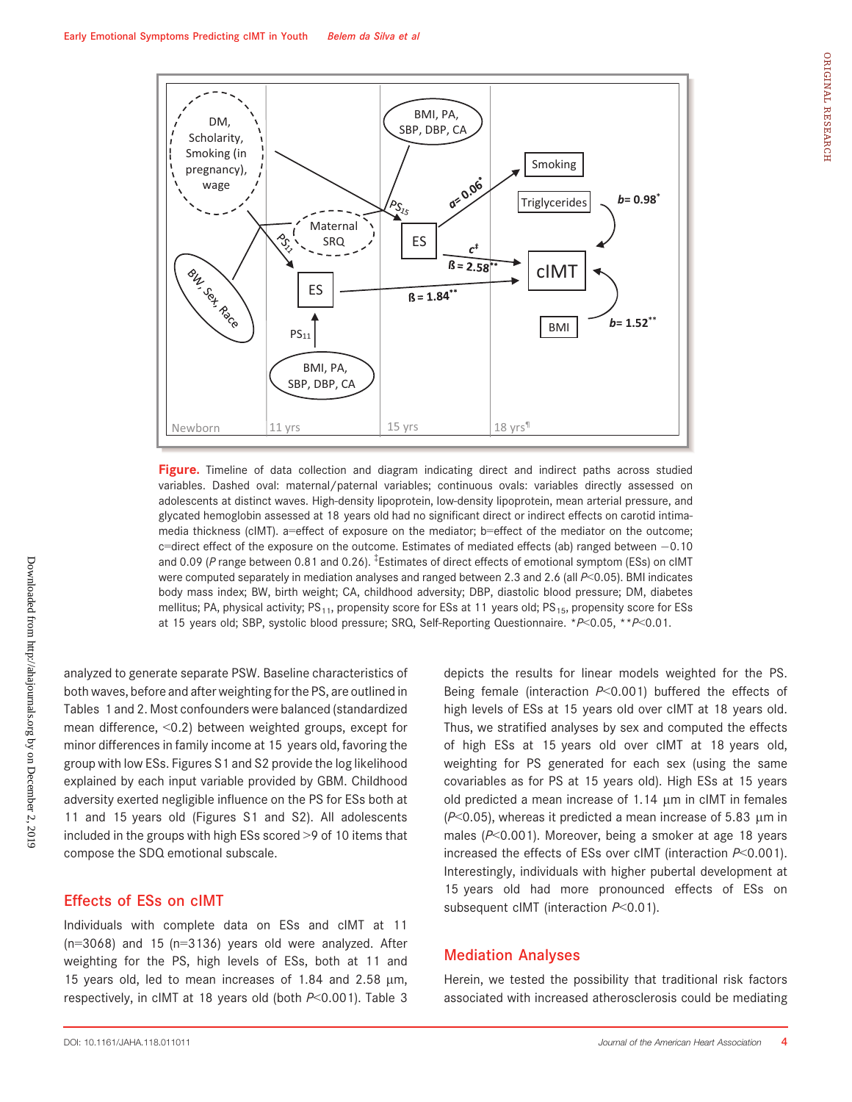

**Figure.** Timeline of data collection and diagram indicating direct and indirect paths across studied variables. Dashed oval: maternal/paternal variables; continuous ovals: variables directly assessed on adolescents at distinct waves. High-density lipoprotein, low-density lipoprotein, mean arterial pressure, and glycated hemoglobin assessed at 18 years old had no significant direct or indirect effects on carotid intimamedia thickness (cIMT). a=effect of exposure on the mediator; b=effect of the mediator on the outcome; c=direct effect of the exposure on the outcome. Estimates of mediated effects (ab) ranged between  $-0.10$ and 0.09 (P range between 0.81 and 0.26). <sup>‡</sup>Estimates of direct effects of emotional symptom (ESs) on cIMT were computed separately in mediation analyses and ranged between 2.3 and 2.6 (all P<0.05). BMI indicates body mass index; BW, birth weight; CA, childhood adversity; DBP, diastolic blood pressure; DM, diabetes mellitus; PA, physical activity; PS<sub>11</sub>, propensity score for ESs at 11 years old; PS<sub>15</sub>, propensity score for ESs at 15 years old; SBP, systolic blood pressure; SRQ, Self-Reporting Questionnaire. \*P<0.05, \*\*P<0.01.

analyzed to generate separate PSW. Baseline characteristics of both waves, before and after weighting for the PS, are outlined in Tables 1 and 2. Most confounders were balanced (standardized mean difference, <0.2) between weighted groups, except for minor differences in family income at 15 years old, favoring the group with low ESs. Figures S1 and S2 provide the log likelihood explained by each input variable provided by GBM. Childhood adversity exerted negligible influence on the PS for ESs both at 11 and 15 years old (Figures S1 and S2). All adolescents included in the groups with high ESs scored >9 of 10 items that compose the SDQ emotional subscale.

#### Effects of ESs on cIMT

Individuals with complete data on ESs and cIMT at 11 (n=3068) and 15 (n=3136) years old were analyzed. After weighting for the PS, high levels of ESs, both at 11 and 15 years old, led to mean increases of 1.84 and 2.58  $\mu$ m, respectively, in cIMT at 18 years old (both P<0.001). Table 3 depicts the results for linear models weighted for the PS. Being female (interaction  $P<0.001$ ) buffered the effects of high levels of ESs at 15 years old over cIMT at 18 years old. Thus, we stratified analyses by sex and computed the effects of high ESs at 15 years old over cIMT at 18 years old, weighting for PS generated for each sex (using the same covariables as for PS at 15 years old). High ESs at 15 years old predicted a mean increase of  $1.14 \mu m$  in cIMT in females  $(P<0.05)$ , whereas it predicted a mean increase of 5.83 µm in males (P<0.001). Moreover, being a smoker at age 18 years increased the effects of ESs over cIMT (interaction  $P<0.001$ ). Interestingly, individuals with higher pubertal development at 15 years old had more pronounced effects of ESs on subsequent cIMT (interaction  $P<0.01$ ).

#### Mediation Analyses

Herein, we tested the possibility that traditional risk factors associated with increased atherosclerosis could be mediating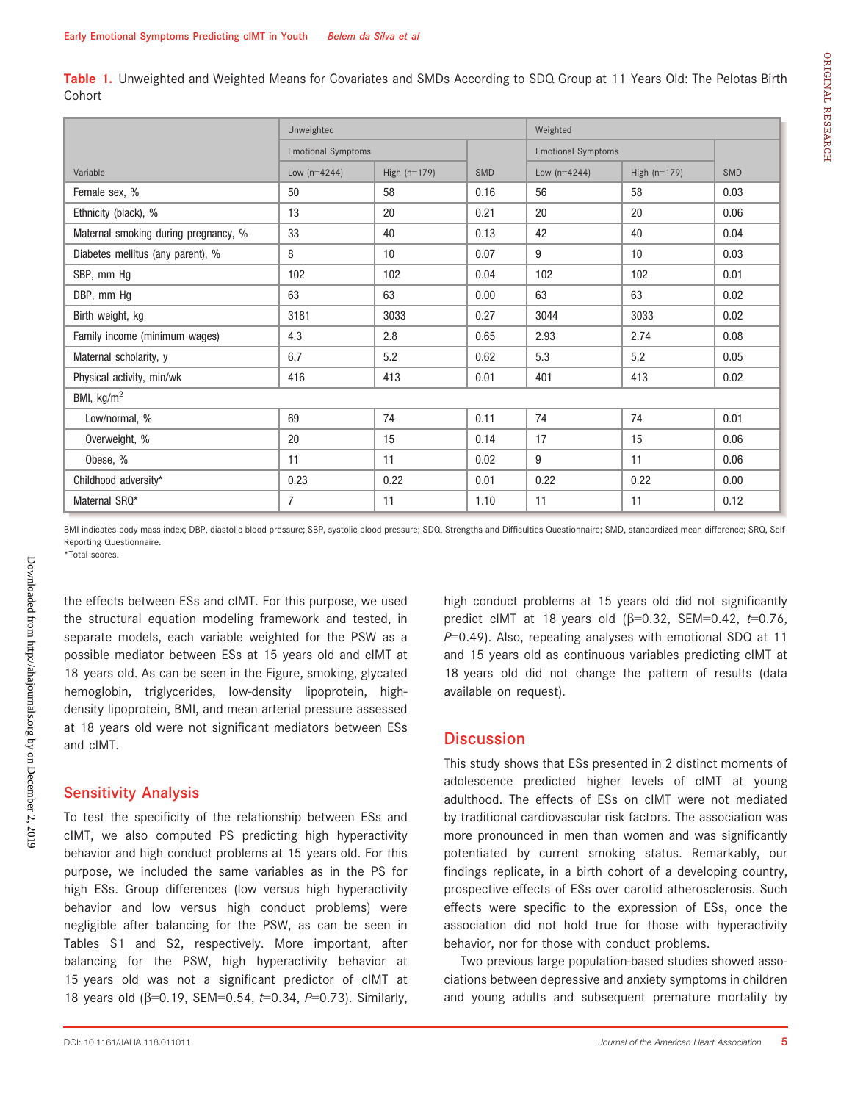Table 1. Unweighted and Weighted Means for Covariates and SMDs According to SDQ Group at 11 Years Old: The Pelotas Birth Cohort

|                                      | Unweighted                |                |      | Weighted                  |                |            |
|--------------------------------------|---------------------------|----------------|------|---------------------------|----------------|------------|
|                                      | <b>Emotional Symptoms</b> |                |      | <b>Emotional Symptoms</b> |                |            |
| Variable                             | Low $(n=4244)$            | High $(n=179)$ | SMD  | Low $(n=4244)$            | High $(n=179)$ | <b>SMD</b> |
| Female sex, %                        | 50                        | 58             | 0.16 | 56                        | 58             | 0.03       |
| Ethnicity (black), %                 | 13                        | 20             | 0.21 | 20                        | 20             | 0.06       |
| Maternal smoking during pregnancy, % | 33                        | 40             | 0.13 | 42                        | 40             | 0.04       |
| Diabetes mellitus (any parent), %    | 8                         | 10             | 0.07 | 9                         | 10             | 0.03       |
| SBP, mm Hg                           | 102                       | 102            | 0.04 | 102                       | 102            | 0.01       |
| DBP, mm Hg                           | 63                        | 63             | 0.00 | 63                        | 63             | 0.02       |
| Birth weight, kg                     | 3181                      | 3033           | 0.27 | 3044                      | 3033           | 0.02       |
| Family income (minimum wages)        | 4.3                       | 2.8            | 0.65 | 2.93                      | 2.74           | 0.08       |
| Maternal scholarity, y               | 6.7                       | 5.2            | 0.62 | 5.3                       | 5.2            | 0.05       |
| Physical activity, min/wk            | 416                       | 413            | 0.01 | 401                       | 413            | 0.02       |
| BMI, $kg/m2$                         |                           |                |      |                           |                |            |
| Low/normal, %                        | 69                        | 74             | 0.11 | 74                        | 74             | 0.01       |
| Overweight, %                        | 20                        | 15             | 0.14 | 17                        | 15             | 0.06       |
| Obese, %                             | 11                        | 11             | 0.02 | 9                         | 11             | 0.06       |
| Childhood adversity*                 | 0.23                      | 0.22           | 0.01 | 0.22                      | 0.22           | 0.00       |
| Maternal SRQ*                        | $\overline{7}$            | 11             | 1.10 | 11                        | 11             | 0.12       |

BMI indicates body mass index; DBP, diastolic blood pressure; SBP, systolic blood pressure; SDQ, Strengths and Difficulties Questionnaire; SMD, standardized mean difference; SRQ, Self-Reporting Questionnaire.

\*Total scores.

the effects between ESs and cIMT. For this purpose, we used the structural equation modeling framework and tested, in separate models, each variable weighted for the PSW as a possible mediator between ESs at 15 years old and cIMT at 18 years old. As can be seen in the Figure, smoking, glycated hemoglobin, triglycerides, low-density lipoprotein, highdensity lipoprotein, BMI, and mean arterial pressure assessed at 18 years old were not significant mediators between ESs and cIMT.

#### Sensitivity Analysis

To test the specificity of the relationship between ESs and cIMT, we also computed PS predicting high hyperactivity behavior and high conduct problems at 15 years old. For this purpose, we included the same variables as in the PS for high ESs. Group differences (low versus high hyperactivity behavior and low versus high conduct problems) were negligible after balancing for the PSW, as can be seen in Tables S1 and S2, respectively. More important, after balancing for the PSW, high hyperactivity behavior at 15 years old was not a significant predictor of cIMT at 18 years old ( $\beta$ =0.19, SEM=0.54, t=0.34, P=0.73). Similarly,

high conduct problems at 15 years old did not significantly predict cIMT at 18 years old  $(\beta=0.32, \text{SEM}=0.42, t=0.76,$  $P=0.49$ ). Also, repeating analyses with emotional SDQ at 11 and 15 years old as continuous variables predicting cIMT at 18 years old did not change the pattern of results (data available on request).

#### **Discussion**

This study shows that ESs presented in 2 distinct moments of adolescence predicted higher levels of cIMT at young adulthood. The effects of ESs on cIMT were not mediated by traditional cardiovascular risk factors. The association was more pronounced in men than women and was significantly potentiated by current smoking status. Remarkably, our findings replicate, in a birth cohort of a developing country, prospective effects of ESs over carotid atherosclerosis. Such effects were specific to the expression of ESs, once the association did not hold true for those with hyperactivity behavior, nor for those with conduct problems.

Two previous large population-based studies showed associations between depressive and anxiety symptoms in children and young adults and subsequent premature mortality by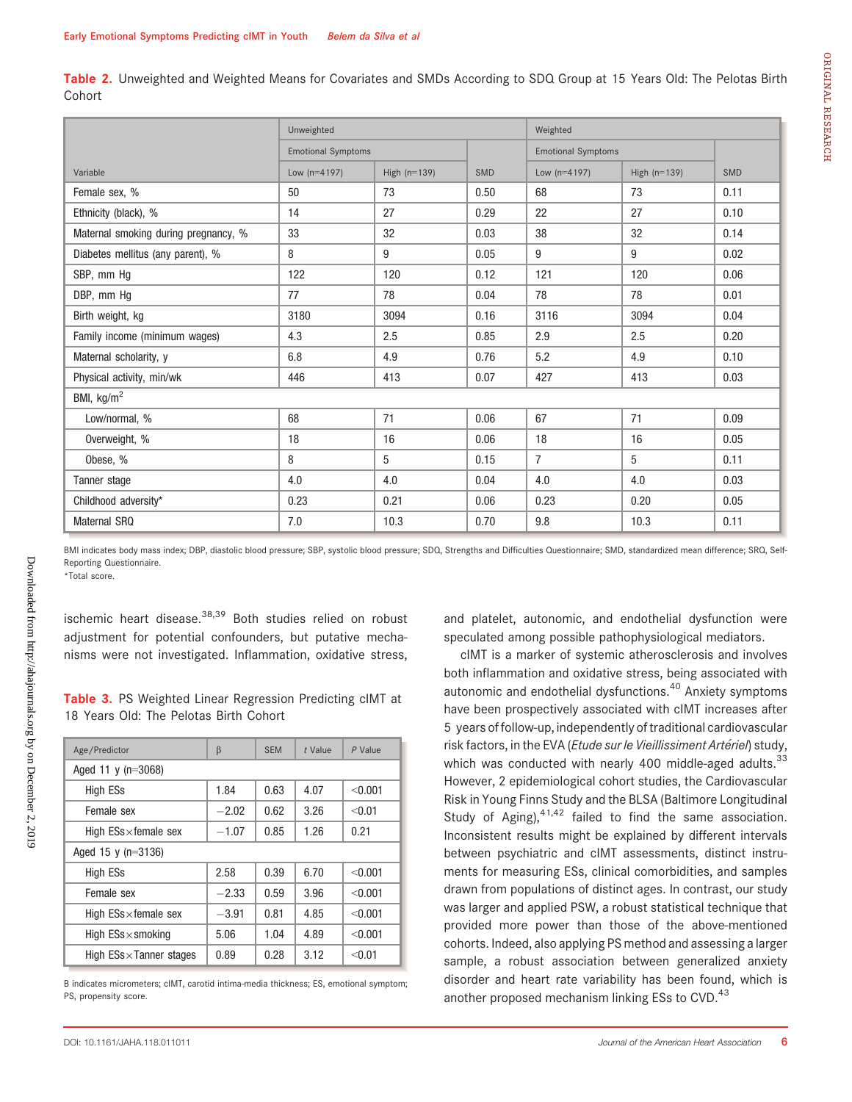Table 2. Unweighted and Weighted Means for Covariates and SMDs According to SDQ Group at 15 Years Old: The Pelotas Birth Cohort

|                                      | Unweighted                |                |            | Weighted                  |                |            |
|--------------------------------------|---------------------------|----------------|------------|---------------------------|----------------|------------|
|                                      | <b>Emotional Symptoms</b> |                |            | <b>Emotional Symptoms</b> |                |            |
| Variable                             | Low (n=4197)              | High $(n=139)$ | <b>SMD</b> | Low (n=4197)              | High $(n=139)$ | <b>SMD</b> |
| Female sex, %                        | 50                        | 73             | 0.50       | 68                        | 73             | 0.11       |
| Ethnicity (black), %                 | 14                        | 27             | 0.29       | 22                        | 27             | 0.10       |
| Maternal smoking during pregnancy, % | 33                        | 32             | 0.03       | 38                        | 32             | 0.14       |
| Diabetes mellitus (any parent), %    | 8                         | 9              | 0.05       | 9                         | 9              | 0.02       |
| SBP, mm Hg                           | 122                       | 120            | 0.12       | 121                       | 120            | 0.06       |
| DBP, mm Hg                           | 77                        | 78             | 0.04       | 78                        | 78             | 0.01       |
| Birth weight, kg                     | 3180                      | 3094           | 0.16       | 3116                      | 3094           | 0.04       |
| Family income (minimum wages)        | 4.3                       | 2.5            | 0.85       | 2.9                       | 2.5            | 0.20       |
| Maternal scholarity, y               | 6.8                       | 4.9            | 0.76       | 5.2                       | 4.9            | 0.10       |
| Physical activity, min/wk            | 446                       | 413            | 0.07       | 427                       | 413            | 0.03       |
| BMI, $\text{kg/m}^2$                 |                           |                |            |                           |                |            |
| Low/normal, %                        | 68                        | 71             | 0.06       | 67                        | 71             | 0.09       |
| Overweight, %                        | 18                        | 16             | 0.06       | 18                        | 16             | 0.05       |
| Obese, %                             | 8                         | 5              | 0.15       | $\overline{7}$            | 5              | 0.11       |
| Tanner stage                         | 4.0                       | 4.0            | 0.04       | 4.0                       | 4.0            | 0.03       |
| Childhood adversity*                 | 0.23                      | 0.21           | 0.06       | 0.23                      | 0.20           | 0.05       |
| <b>Maternal SRQ</b>                  | 7.0                       | 10.3           | 0.70       | 9.8                       | 10.3           | 0.11       |

BMI indicates body mass index; DBP, diastolic blood pressure; SBP, systolic blood pressure; SDQ, Strengths and Difficulties Questionnaire; SMD, standardized mean difference; SRQ, Self-Reporting Questionnaire.

\*Total score.

ischemic heart disease. $38,39$  Both studies relied on robust adjustment for potential confounders, but putative mechanisms were not investigated. Inflammation, oxidative stress,

| <b>Table 3.</b> PS Weighted Linear Regression Predicting cIMT at |
|------------------------------------------------------------------|
| 18 Years Old: The Pelotas Birth Cohort                           |

| Age/Predictor                   | β       | <b>SEM</b> | $t$ Value | $P$ Value |
|---------------------------------|---------|------------|-----------|-----------|
| Aged 11 y ( $n=3068$ )          |         |            |           |           |
| High ESs                        | 1.84    | 0.63       | 4.07      | < 0.001   |
| Female sex                      | $-2.02$ | 0.62       | 3.26      | < 0.01    |
| High $ESs \times female$ sex    | $-1.07$ | 0.85       | 1.26      | 0.21      |
| Aged 15 $y$ (n=3136)            |         |            |           |           |
| High ESs                        | 2.58    | 0.39       | 6.70      | < 0.001   |
| Female sex                      | $-2.33$ | 0.59       | 3.96      | < 0.001   |
| High $ESs \times female$ sex    | $-3.91$ | 0.81       | 4.85      | < 0.001   |
| High $ESs \times$ smoking       | 5.06    | 1.04       | 4.89      | < 0.001   |
| High $ESs \times Tanner$ stages | 0.89    | 0.28       | 3.12      | < 0.01    |

B indicates micrometers; cIMT, carotid intima-media thickness; ES, emotional symptom; PS, propensity score.

and platelet, autonomic, and endothelial dysfunction were speculated among possible pathophysiological mediators.

cIMT is a marker of systemic atherosclerosis and involves both inflammation and oxidative stress, being associated with autonomic and endothelial dysfunctions.<sup>40</sup> Anxiety symptoms have been prospectively associated with cIMT increases after 5 years of follow-up, independently of traditional cardiovascular risk factors, in the EVA (Etude sur le Vieillissiment Artériel) study, which was conducted with nearly 400 middle-aged adults. $33$ However, 2 epidemiological cohort studies, the Cardiovascular Risk in Young Finns Study and the BLSA (Baltimore Longitudinal Study of Aging), $4^{1,42}$  failed to find the same association. Inconsistent results might be explained by different intervals between psychiatric and cIMT assessments, distinct instruments for measuring ESs, clinical comorbidities, and samples drawn from populations of distinct ages. In contrast, our study was larger and applied PSW, a robust statistical technique that provided more power than those of the above-mentioned cohorts. Indeed, also applying PS method and assessing a larger sample, a robust association between generalized anxiety disorder and heart rate variability has been found, which is another proposed mechanism linking ESs to CVD.<sup>43</sup>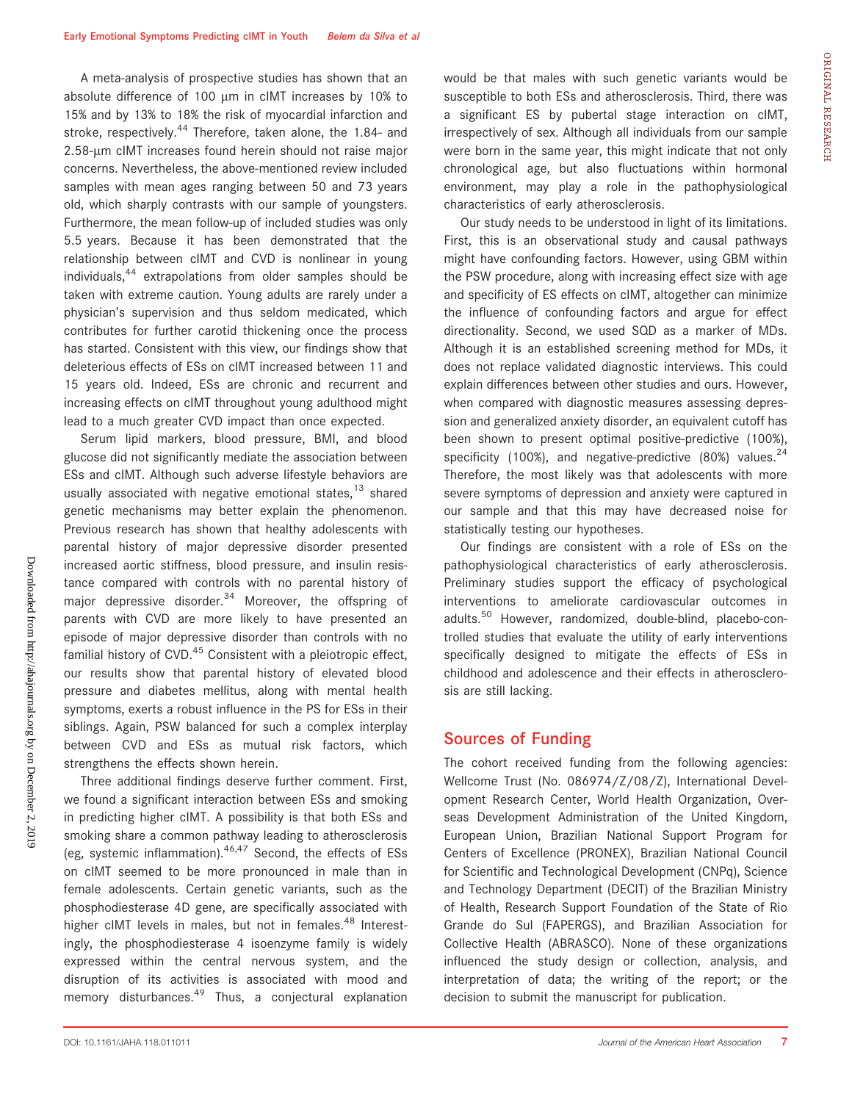A meta-analysis of prospective studies has shown that an absolute difference of 100  $\mu$ m in cIMT increases by 10% to 15% and by 13% to 18% the risk of myocardial infarction and stroke, respectively.<sup>44</sup> Therefore, taken alone, the 1.84- and 2.58-um cIMT increases found herein should not raise major concerns. Nevertheless, the above-mentioned review included samples with mean ages ranging between 50 and 73 years old, which sharply contrasts with our sample of youngsters. Furthermore, the mean follow-up of included studies was only 5.5 years. Because it has been demonstrated that the relationship between cIMT and CVD is nonlinear in young individuals,<sup>44</sup> extrapolations from older samples should be taken with extreme caution. Young adults are rarely under a physician's supervision and thus seldom medicated, which contributes for further carotid thickening once the process has started. Consistent with this view, our findings show that deleterious effects of ESs on cIMT increased between 11 and 15 years old. Indeed, ESs are chronic and recurrent and increasing effects on cIMT throughout young adulthood might lead to a much greater CVD impact than once expected.

Serum lipid markers, blood pressure, BMI, and blood glucose did not significantly mediate the association between ESs and cIMT. Although such adverse lifestyle behaviors are usually associated with negative emotional states,  $13$  shared genetic mechanisms may better explain the phenomenon. Previous research has shown that healthy adolescents with parental history of major depressive disorder presented increased aortic stiffness, blood pressure, and insulin resistance compared with controls with no parental history of major depressive disorder.<sup>34</sup> Moreover, the offspring of parents with CVD are more likely to have presented an episode of major depressive disorder than controls with no familial history of CVD.<sup>45</sup> Consistent with a pleiotropic effect, our results show that parental history of elevated blood pressure and diabetes mellitus, along with mental health symptoms, exerts a robust influence in the PS for ESs in their siblings. Again, PSW balanced for such a complex interplay between CVD and ESs as mutual risk factors, which strengthens the effects shown herein.

Three additional findings deserve further comment. First, we found a significant interaction between ESs and smoking in predicting higher cIMT. A possibility is that both ESs and smoking share a common pathway leading to atherosclerosis (eg, systemic inflammation). $46,47$  Second, the effects of ESs on cIMT seemed to be more pronounced in male than in female adolescents. Certain genetic variants, such as the phosphodiesterase 4D gene, are specifically associated with higher cIMT levels in males, but not in females.<sup>48</sup> Interestingly, the phosphodiesterase 4 isoenzyme family is widely expressed within the central nervous system, and the disruption of its activities is associated with mood and memory disturbances.<sup>49</sup> Thus, a conjectural explanation would be that males with such genetic variants would be susceptible to both ESs and atherosclerosis. Third, there was a significant ES by pubertal stage interaction on cIMT, irrespectively of sex. Although all individuals from our sample were born in the same year, this might indicate that not only chronological age, but also fluctuations within hormonal environment, may play a role in the pathophysiological characteristics of early atherosclerosis.

Our study needs to be understood in light of its limitations. First, this is an observational study and causal pathways might have confounding factors. However, using GBM within the PSW procedure, along with increasing effect size with age and specificity of ES effects on cIMT, altogether can minimize the influence of confounding factors and argue for effect directionality. Second, we used SQD as a marker of MDs. Although it is an established screening method for MDs, it does not replace validated diagnostic interviews. This could explain differences between other studies and ours. However, when compared with diagnostic measures assessing depression and generalized anxiety disorder, an equivalent cutoff has been shown to present optimal positive-predictive (100%), specificity (100%), and negative-predictive (80%) values.  $24$ Therefore, the most likely was that adolescents with more severe symptoms of depression and anxiety were captured in our sample and that this may have decreased noise for statistically testing our hypotheses.

Our findings are consistent with a role of ESs on the pathophysiological characteristics of early atherosclerosis. Preliminary studies support the efficacy of psychological interventions to ameliorate cardiovascular outcomes in adults.<sup>50</sup> However, randomized, double-blind, placebo-controlled studies that evaluate the utility of early interventions specifically designed to mitigate the effects of ESs in childhood and adolescence and their effects in atherosclerosis are still lacking.

## Sources of Funding

The cohort received funding from the following agencies: Wellcome Trust (No. 086974/Z/08/Z), International Development Research Center, World Health Organization, Overseas Development Administration of the United Kingdom, European Union, Brazilian National Support Program for Centers of Excellence (PRONEX), Brazilian National Council for Scientific and Technological Development (CNPq), Science and Technology Department (DECIT) of the Brazilian Ministry of Health, Research Support Foundation of the State of Rio Grande do Sul (FAPERGS), and Brazilian Association for Collective Health (ABRASCO). None of these organizations influenced the study design or collection, analysis, and interpretation of data; the writing of the report; or the decision to submit the manuscript for publication.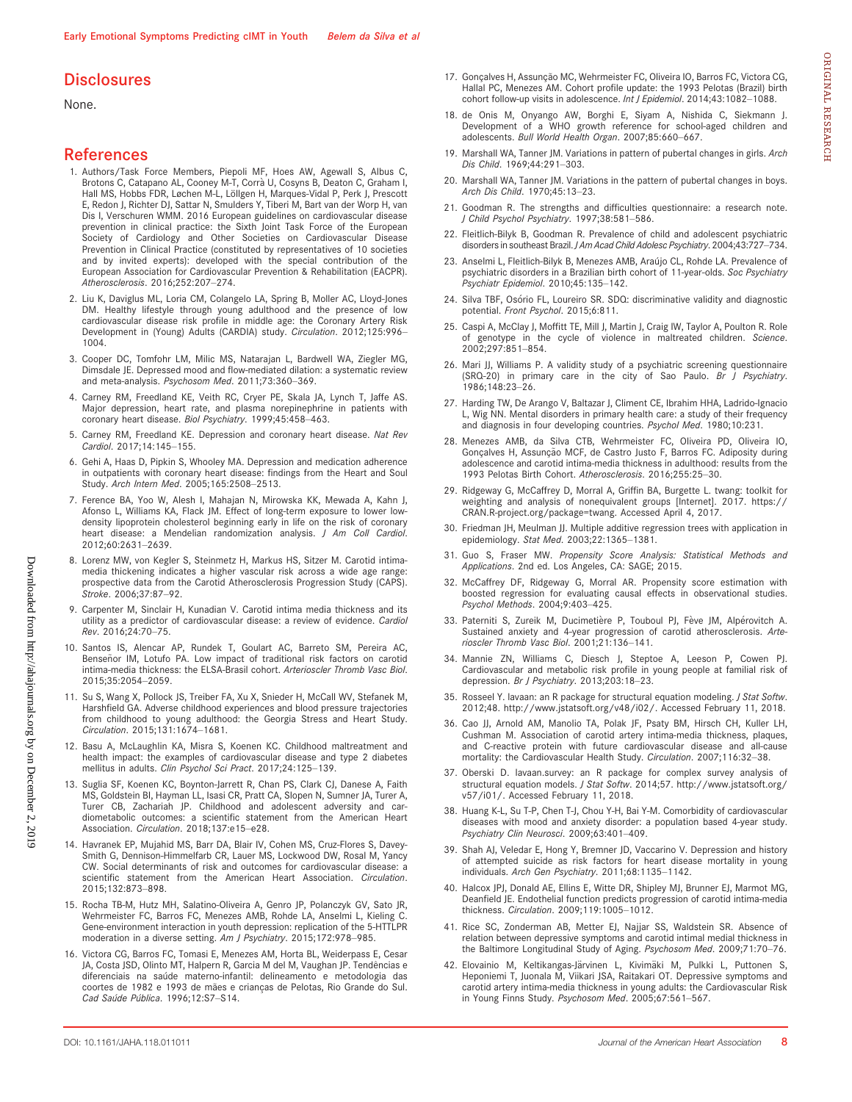## **Disclosures**

None.

#### References

- 1. Authors/Task Force Members, Piepoli MF, Hoes AW, Agewall S, Albus C, Brotons C, Catapano AL, Cooney M-T, Corrà U, Cosyns B, Deaton C, Graham I, Hall MS, Hobbs FDR, Løchen M-L, Löllgen H, Marques-Vidal P, Perk J, Prescott E, Redon J, Richter DJ, Sattar N, Smulders Y, Tiberi M, Bart van der Worp H, van Dis I, Verschuren WMM. 2016 European guidelines on cardiovascular disease prevention in clinical practice: the Sixth Joint Task Force of the European Society of Cardiology and Other Societies on Cardiovascular Disease Prevention in Clinical Practice (constituted by representatives of 10 societies and by invited experts): developed with the special contribution of the European Association for Cardiovascular Prevention & Rehabilitation (EACPR). Atherosclerosis. 2016;252:207–274.
- 2. Liu K, Daviglus ML, Loria CM, Colangelo LA, Spring B, Moller AC, Lloyd-Jones DM. Healthy lifestyle through young adulthood and the presence of low cardiovascular disease risk profile in middle age: the Coronary Artery Risk<br>Development in (Young) Adults (CARDIA) study. *Circulation*. 2012;125:996– 1004.
- 3. Cooper DC, Tomfohr LM, Milic MS, Natarajan L, Bardwell WA, Ziegler MG, Dimsdale JE. Depressed mood and flow-mediated dilation: a systematic review and meta-analysis. Psychosom Med. 2011;73:360–369.
- 4. Carney RM, Freedland KE, Veith RC, Cryer PE, Skala JA, Lynch T, Jaffe AS. Major depression, heart rate, and plasma norepinephrine in patients with coronary heart disease. Biol Psychiatry. 1999;45:458-463.
- 5. Carney RM, Freedland KE. Depression and coronary heart disease. Nat Rev Cardiol. 2017;14:145–155.
- 6. Gehi A, Haas D, Pipkin S, Whooley MA. Depression and medication adherence in outpatients with coronary heart disease: findings from the Heart and Soul Study. Arch Intern Med. 2005;165:2508–2513.
- 7. Ference BA, Yoo W, Alesh I, Mahajan N, Mirowska KK, Mewada A, Kahn J, Afonso L, Williams KA, Flack JM. Effect of long-term exposure to lower lowdensity lipoprotein cholesterol beginning early in life on the risk of coronary heart disease: a Mendelian randomization analysis. J Am Coll Cardiol. 2012;60:2631–2639.
- 8. Lorenz MW, von Kegler S, Steinmetz H, Markus HS, Sitzer M. Carotid intimamedia thickening indicates a higher vascular risk across a wide age range: prospective data from the Carotid Atherosclerosis Progression Study (CAPS). Stroke. 2006;37:87–92.
- 9. Carpenter M, Sinclair H, Kunadian V. Carotid intima media thickness and its utility as a predictor of cardiovascular disease: a review of evidence. Cardiol Rev. 2016;24:70–75.
- 10. Santos IS, Alencar AP, Rundek T, Goulart AC, Barreto SM, Pereira AC, Benseñor IM, Lotufo PA. Low impact of traditional risk factors on carotid intima-media thickness: the ELSA-Brasil cohort. Arterioscler Thromb Vasc Biol. 2015;35:2054–2059.
- 11. Su S, Wang X, Pollock JS, Treiber FA, Xu X, Snieder H, McCall WV, Stefanek M, Harshfield GA. Adverse childhood experiences and blood pressure trajectories from childhood to young adulthood: the Georgia Stress and Heart Study. Circulation. 2015;131:1674–1681.
- 12. Basu A, McLaughlin KA, Misra S, Koenen KC. Childhood maltreatment and health impact: the examples of cardiovascular disease and type 2 diabetes mellitus in adults. Clin Psychol Sci Pract. 2017;24:125–139.
- 13. Suglia SF, Koenen KC, Boynton-Jarrett R, Chan PS, Clark CJ, Danese A, Faith MS, Goldstein BI, Hayman LL, Isasi CR, Pratt CA, Slopen N, Sumner JA, Turer A, Turer CB, Zachariah JP. Childhood and adolescent adversity and cardiometabolic outcomes: a scientific statement from the American Heart Association. Circulation. 2018;137:e15–e28.
- 14. Havranek EP, Mujahid MS, Barr DA, Blair IV, Cohen MS, Cruz-Flores S, Davey-Smith G, Dennison-Himmelfarb CR, Lauer MS, Lockwood DW, Rosal M, Yancy CW. Social determinants of risk and outcomes for cardiovascular disease: a scientific statement from the American Heart Association. Circulation. 2015;132:873–898.
- 15. Rocha TB-M, Hutz MH, Salatino-Oliveira A, Genro JP, Polanczyk GV, Sato JR, Wehrmeister FC, Barros FC, Menezes AMB, Rohde LA, Anselmi L, Kieling C. Gene-environment interaction in youth depression: replication of the 5-HTTLPR moderation in a diverse setting. Am J Psychiatry. 2015;172:978-985.
- 16. Victora CG, Barros FC, Tomasi E, Menezes AM, Horta BL, Weiderpass E, Cesar JA, Costa JSD, Olinto MT, Halpern R, Garcia M del M, Vaughan JP. Tendências e diferenciais na saúde materno-infantil: delineamento e metodologia das coortes de 1982 e 1993 de mães e crianças de Pelotas, Rio Grande do Sul. Cad Saúde Pública. 1996;12:S7-S14.
- 17. Gonçalves H, Assunção MC, Wehrmeister FC, Oliveira IO, Barros FC, Victora CG, Hallal PC, Menezes AM. Cohort profile update: the 1993 Pelotas (Brazil) birth cohort follow-up visits in adolescence. Int J Epidemiol. 2014;43:1082-1088.
- 18. de Onis M, Onyango AW, Borghi E, Siyam A, Nishida C, Siekmann J. Development of a WHO growth reference for school-aged children and adolescents. Bull World Health Organ. 2007;85:660–667.
- 19. Marshall WA, Tanner JM. Variations in pattern of pubertal changes in girls. Arch Dis Child. 1969;44:291–303.
- 20. Marshall WA, Tanner JM. Variations in the pattern of pubertal changes in boys. Arch Dis Child. 1970;45:13–23.
- 21. Goodman R. The strengths and difficulties questionnaire: a research note. J Child Psychol Psychiatry. 1997;38:581–586.
- 22. Fleitlich-Bilyk B, Goodman R. Prevalence of child and adolescent psychiatric disorders in southeast Brazil. J Am Acad Child Adolesc Psychiatry. 2004;43:727–734.
- 23. Anselmi L, Fleitlich-Bilvk B, Menezes AMB, Araújo CL, Rohde LA, Prevalence of psychiatric disorders in a Brazilian birth cohort of 11-year-olds. Soc Psychiatry Psychiatr Epidemiol. 2010;45:135–142.
- 24. Silva TBF, Osório FL, Loureiro SR. SDQ: discriminative validity and diagnostic potential. Front Psychol. 2015;6:811.
- 25. Caspi A, McClay J, Moffitt TE, Mill J, Martin J, Craig IW, Taylor A, Poulton R. Role of genotype in the cycle of violence in maltreated children. Science. 2002;297:851–854.
- 26. Mari JJ, Williams P. A validity study of a psychiatric screening questionnaire (SRQ-20) in primary care in the city of Sao Paulo. Br J Psychiatry. 1986;148:23–26.
- 27. Harding TW, De Arango V, Baltazar J, Climent CE, Ibrahim HHA, Ladrido-Ignacio L, Wig NN. Mental disorders in primary health care: a study of their frequency and diagnosis in four developing countries. Psychol Med. 1980;10:231.
- 28. Menezes AMB, da Silva CTB, Wehrmeister FC, Oliveira PD, Oliveira IO, Gonçalves H, Assunção MCF, de Castro Justo F, Barros FC. Adiposity during adolescence and carotid intima-media thickness in adulthood: results from the 1993 Pelotas Birth Cohort. Atherosclerosis. 2016;255:25–30.
- 29. Ridgeway G, McCaffrey D, Morral A, Griffin BA, Burgette L. twang: toolkit for weighting and analysis of nonequivalent groups [Internet]. 2017. [https://](https://CRAN.R-project.org/package=twang) [CRAN.R-project.org/package=twang.](https://CRAN.R-project.org/package=twang) Accessed April 4, 2017.
- 30. Friedman JH, Meulman JJ. Multiple additive regression trees with application in epidemiology. Stat Med. 2003;22:1365–1381.
- 31. Guo S, Fraser MW. Propensity Score Analysis: Statistical Methods and Applications. 2nd ed. Los Angeles, CA: SAGE; 2015.
- 32. McCaffrey DF, Ridgeway G, Morral AR. Propensity score estimation with boosted regression for evaluating causal effects in observational studies. Psychol Methods. 2004;9:403–425.
- 33. Paterniti S, Zureik M, Ducimetière P, Touboul PJ, Fève JM, Alpérovitch A. Sustained anxiety and 4-year progression of carotid atherosclerosis. Arterioscler Thromb Vasc Biol. 2001;21:136–141.
- 34. Mannie ZN, Williams C, Diesch J, Steptoe A, Leeson P, Cowen PJ. Cardiovascular and metabolic risk profile in young people at familial risk of depression. Br J Psychiatry. 2013;203:18–23.
- 35. Rosseel Y. lavaan: an R package for structural equation modeling. J Stat Softw. 2012;48. [http://www.jstatsoft.org/v48/i02/.](http://www.jstatsoft.org/v48/i02/) Accessed February 11, 2018.
- 36. Cao JJ, Arnold AM, Manolio TA, Polak JF, Psaty BM, Hirsch CH, Kuller LH, Cushman M. Association of carotid artery intima-media thickness, plaques, and C-reactive protein with future cardiovascular disease and all-cause mortality: the Cardiovascular Health Study. Circulation. 2007;116:32–38.
- 37. Oberski D. lavaan.survey: an R package for complex survey analysis of structural equation models. J Stat Softw. 2014;57. [http://www.jstatsoft.org/](http://www.jstatsoft.org/v57/i01/) [v57/i01/](http://www.jstatsoft.org/v57/i01/). Accessed February 11, 2018.
- 38. Huang K-L, Su T-P, Chen T-J, Chou Y-H, Bai Y-M. Comorbidity of cardiovascular diseases with mood and anxiety disorder: a population based 4-year study. Psychiatry Clin Neurosci. 2009;63:401-409.
- 39. Shah AJ, Veledar E, Hong Y, Bremner JD, Vaccarino V. Depression and history of attempted suicide as risk factors for heart disease mortality in young individuals. Arch Gen Psychiatry. 2011;68:1135–1142.
- 40. Halcox JPJ, Donald AE, Ellins E, Witte DR, Shipley MJ, Brunner EJ, Marmot MG, Deanfield JE. Endothelial function predicts progression of carotid intima-media thickness. Circulation. 2009;119:1005–1012.
- 41. Rice SC, Zonderman AB, Metter EL, Najjar SS, Waldstein SR, Absence of relation between depressive symptoms and carotid intimal medial thickness in the Baltimore Longitudinal Study of Aging. Psychosom Med. 2009;71:70–76.
- 42. Elovainio M, Keltikangas-Järvinen L, Kivimäki M, Pulkki L, Puttonen S, Heponiemi T, Juonala M, Viikari JSA, Raitakari OT. Depressive symptoms and carotid artery intima-media thickness in young adults: the Cardiovascular Risk in Young Finns Study. Psychosom Med. 2005;67:561–567.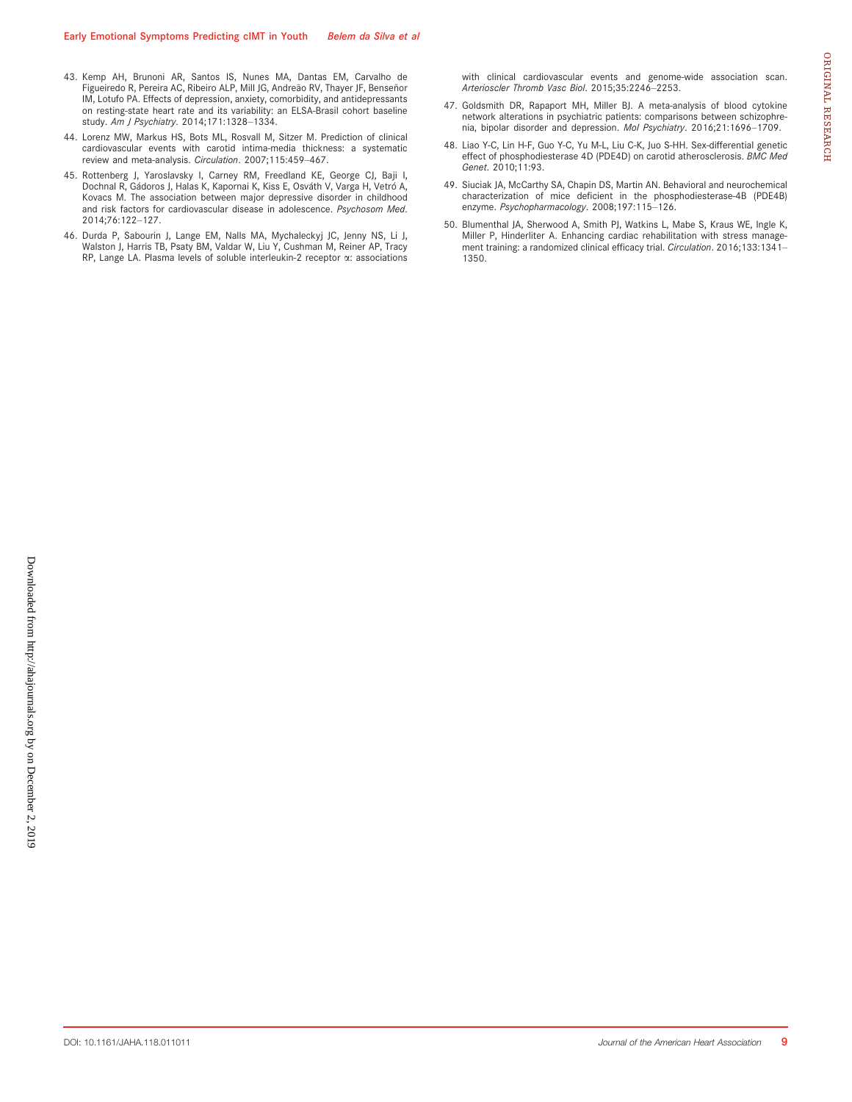- 43. Kemp AH, Brunoni AR, Santos IS, Nunes MA, Dantas EM, Carvalho de Figueiredo R, Pereira AC, Ribeiro ALP, Mill JG, Andreão RV, Thayer JF, Benseñor IM, Lotufo PA. Effects of depression, anxiety, comorbidity, and antidepressants on resting-state heart rate and its variability: an ELSA-Brasil cohort baseline study. Am J Psychiatry. 2014;171:1328-1334.
- 44. Lorenz MW, Markus HS, Bots ML, Rosvall M, Sitzer M. Prediction of clinical cardiovascular events with carotid intima-media thickness: a systematic<br>review and meta-analysis. *Circulation*. 2007;115:459–467.
- 45. Rottenberg J, Yaroslavsky I, Carney RM, Freedland KE, George CJ, Baji I, Dochnal R, Gadoros J, Halas K, Kapornai K, Kiss E, Osvath V, Varga H, Vetro A, Kovacs M. The association between major depressive disorder in childhood and risk factors for cardiovascular disease in adolescence. Psychosom Med. 2014;76:122–127.
- 46. Durda P, Sabourin J, Lange EM, Nalls MA, Mychaleckyj JC, Jenny NS, Li J, Walston J, Harris TB, Psaty BM, Valdar W, Liu Y, Cushman M, Reiner AP, Tracy RP, Lange LA. Plasma levels of soluble interleukin-2 receptor  $\alpha$ : associations

with clinical cardiovascular events and genome-wide association scan. Arterioscler Thromb Vasc Biol. 2015;35:2246–2253.

- 47. Goldsmith DR, Rapaport MH, Miller BJ. A meta-analysis of blood cytokine network alterations in psychiatric patients: comparisons between schizophrenia, bipolar disorder and depression. Mol Psychiatry. 2016;21:1696-1709.
- 48. Liao Y-C, Lin H-F, Guo Y-C, Yu M-L, Liu C-K, Juo S-HH. Sex-differential genetic effect of phosphodiesterase 4D (PDE4D) on carotid atherosclerosis. BMC Med Genet. 2010;11:93.
- 49. Siuciak JA, McCarthy SA, Chapin DS, Martin AN. Behavioral and neurochemical characterization of mice deficient in the phosphodiesterase-4B (PDE4B) enzyme. Psychopharmacology. 2008;197:115–126.
- 50. Blumenthal JA, Sherwood A, Smith PJ, Watkins L, Mabe S, Kraus WE, Ingle K, Miller P, Hinderliter A. Enhancing cardiac rehabilitation with stress management training: a randomized clinical efficacy trial. Circulation. 2016;133:1341-1350.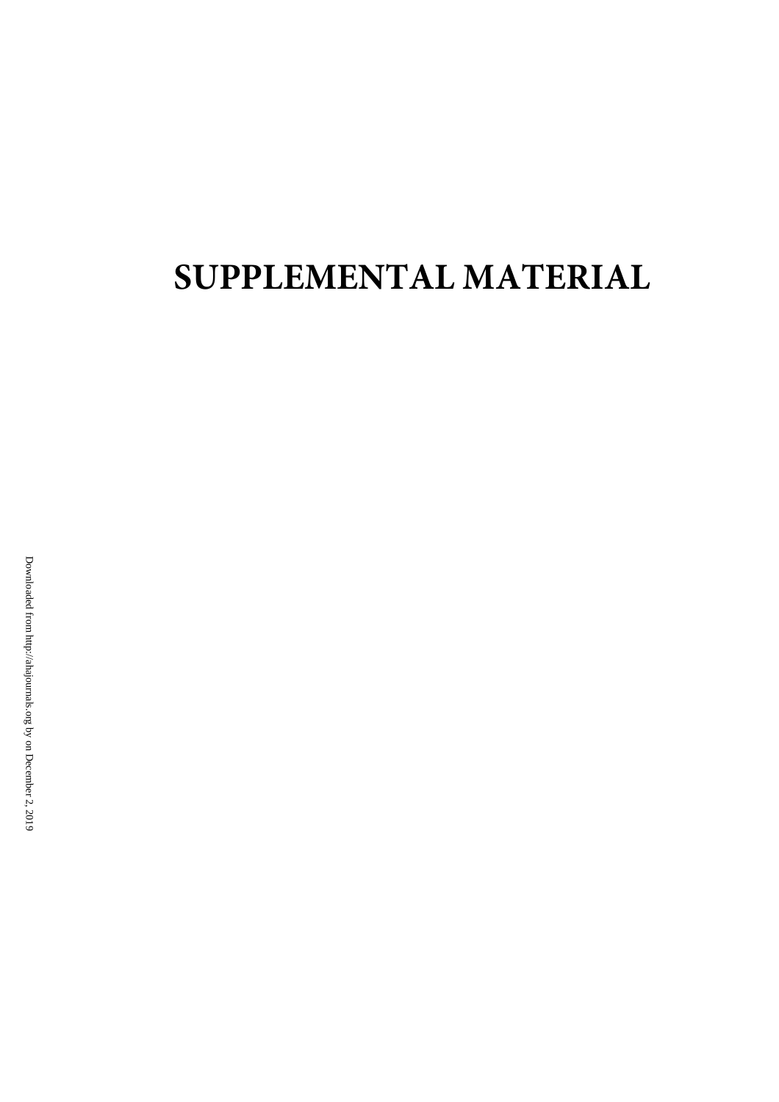# **SUPPLEMENTAL MATERIAL**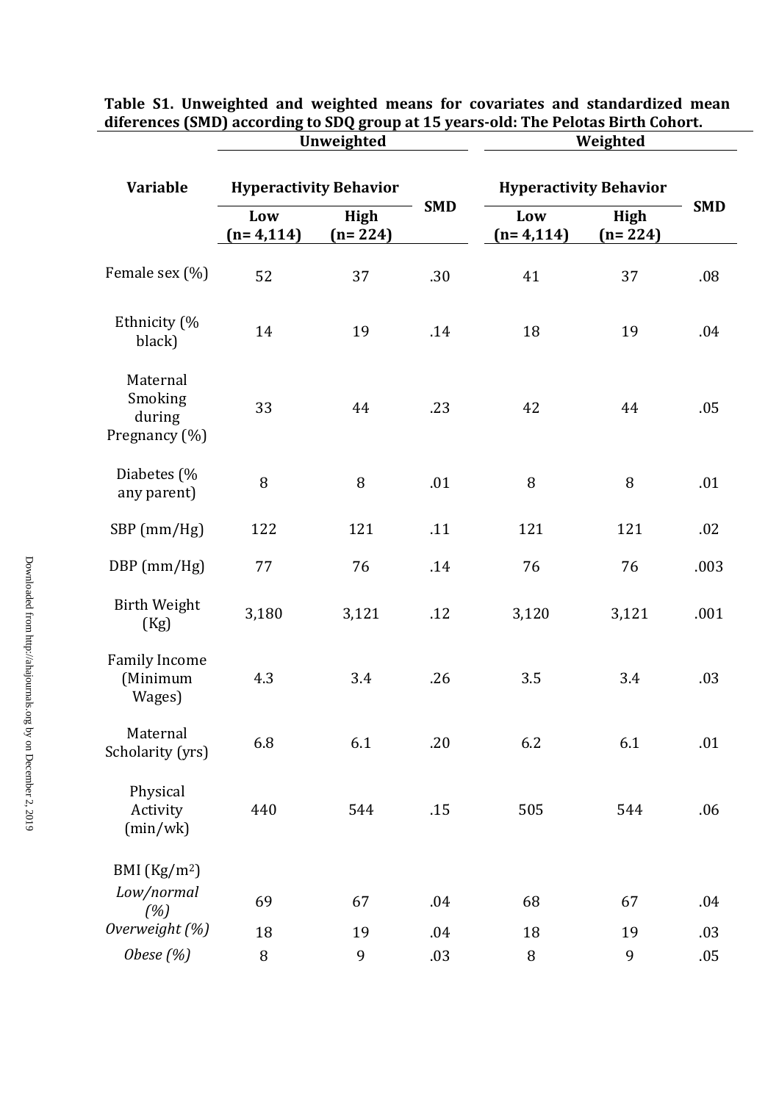|                                                |                               | Unweighted        |            | Weighted                      |                          |            |  |
|------------------------------------------------|-------------------------------|-------------------|------------|-------------------------------|--------------------------|------------|--|
| <b>Variable</b>                                | <b>Hyperactivity Behavior</b> |                   |            | <b>Hyperactivity Behavior</b> |                          |            |  |
|                                                | Low<br>$(n=4, 114)$           | High<br>$(n=224)$ | <b>SMD</b> | Low<br>$(n=4, 114)$           | <b>High</b><br>$(n=224)$ | <b>SMD</b> |  |
| Female sex (%)                                 | 52                            | 37                | .30        | 41                            | 37                       | .08        |  |
| Ethnicity (%<br>black)                         | 14                            | 19                | .14        | 18                            | 19                       | .04        |  |
| Maternal<br>Smoking<br>during<br>Pregnancy (%) | 33                            | 44                | .23        | 42                            | 44                       | .05        |  |
| Diabetes (%<br>any parent)                     | 8                             | 8                 | .01        | 8                             | 8                        | .01        |  |
| SBP (mm/Hg)                                    | 122                           | 121               | .11        | 121                           | 121                      | .02        |  |
| $DBP$ (mm/Hg)                                  | 77                            | 76                | .14        | 76                            | 76                       | .003       |  |
| <b>Birth Weight</b><br>(Kg)                    | 3,180                         | 3,121             | .12        | 3,120                         | 3,121                    | .001       |  |
| Family Income<br>(Minimum<br>Wages)            | 4.3                           | 3.4               | .26        | 3.5                           | 3.4                      | .03        |  |
| Maternal<br>Scholarity (yrs)                   | 6.8                           | 6.1               | .20        | 6.2                           | 6.1                      | .01        |  |
| Physical<br>Activity<br>(min/wk)               | 440                           | 544               | .15        | 505                           | 544                      | .06        |  |
| BMI $(Kg/m2)$<br>Low/normal<br>(%)             | 69                            | 67                | .04        | 68                            | 67                       | .04        |  |
| Overweight (%)                                 | 18                            | 19                | .04        | 18                            | 19                       | .03        |  |
| Obese (%)                                      | $\, 8$                        | 9                 | .03        | $\, 8$                        | 9                        | .05        |  |

## **Table S1. Unweighted and weighted means for covariates and standardized mean diferences (SMD) according to SDQ group at 15 years-old: The Pelotas Birth Cohort.**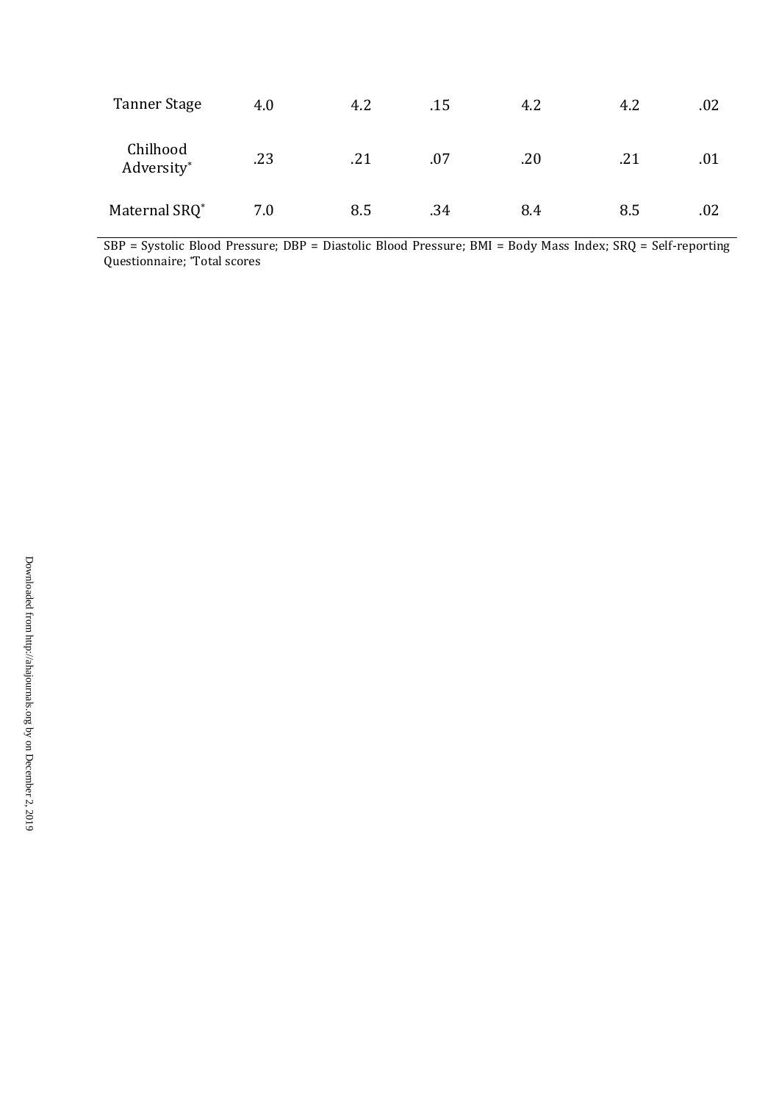| <b>Tanner Stage</b>    | 4.0 | 4.2 | .15 | 4.2 | 4.2 | .02 |
|------------------------|-----|-----|-----|-----|-----|-----|
| Chilhood<br>Adversity* | .23 | .21 | .07 | .20 | .21 | .01 |
| Maternal SRQ*          | 7.0 | 8.5 | .34 | 8.4 | 8.5 | .02 |

SBP = Systolic Blood Pressure; DBP = Diastolic Blood Pressure; BMI = Body Mass Index; SRQ = Self-reporting Questionnaire; \*Total scores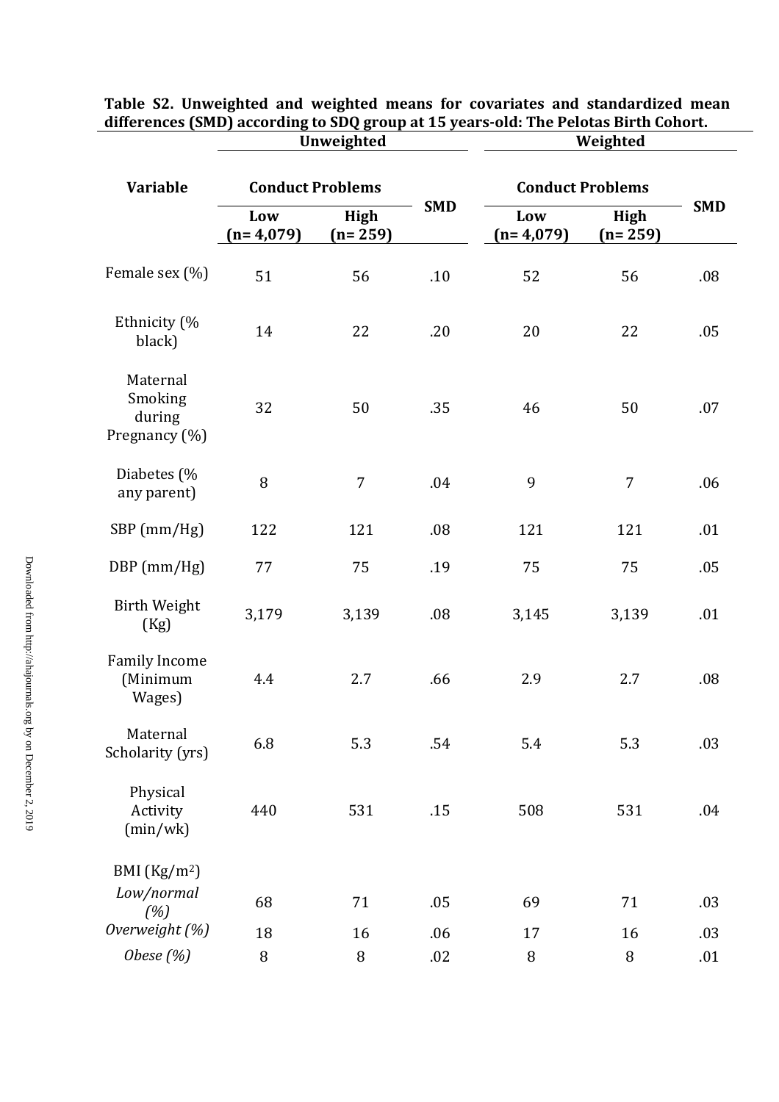|                                                |                         | Unweighted               |            | Weighted                |                          |            |
|------------------------------------------------|-------------------------|--------------------------|------------|-------------------------|--------------------------|------------|
| <b>Variable</b>                                | <b>Conduct Problems</b> |                          |            | <b>Conduct Problems</b> |                          |            |
|                                                | Low<br>$(n=4,079)$      | <b>High</b><br>$(n=259)$ | <b>SMD</b> | Low<br>$(n=4,079)$      | <b>High</b><br>$(n=259)$ | <b>SMD</b> |
| Female sex (%)                                 | 51                      | 56                       | .10        | 52                      | 56                       | .08        |
| Ethnicity (%<br>black)                         | 14                      | 22                       | .20        | 20                      | 22                       | .05        |
| Maternal<br>Smoking<br>during<br>Pregnancy (%) | 32                      | 50                       | .35        | 46                      | 50                       | .07        |
| Diabetes (%<br>any parent)                     | 8                       | $\overline{7}$           | .04        | 9                       | 7                        | .06        |
| SBP (mm/Hg)                                    | 122                     | 121                      | .08        | 121                     | 121                      | .01        |
| $DBP$ (mm/Hg)                                  | 77                      | 75                       | .19        | 75                      | 75                       | .05        |
| <b>Birth Weight</b><br>(Kg)                    | 3,179                   | 3,139                    | .08        | 3,145                   | 3,139                    | .01        |
| <b>Family Income</b><br>(Minimum<br>Wages)     | 4.4                     | 2.7                      | .66        | 2.9                     | 2.7                      | .08        |
| Maternal<br>Scholarity (yrs)                   | 6.8                     | 5.3                      | .54        | 5.4                     | 5.3                      | .03        |
| Physical<br>Activity<br>(min/wk)               | 440                     | 531                      | .15        | 508                     | 531                      | .04        |
| BMI $(Kg/m2)$<br>Low/normal<br>(%)             | 68                      | 71                       | .05        | 69                      | 71                       | .03        |
| Overweight (%)                                 | 18                      | 16                       | .06        | 17                      | 16                       | .03        |
| Obese (%)                                      | $\, 8$                  | $\, 8$                   | .02        | 8                       | 8                        | .01        |

## **Table S2. Unweighted and weighted means for covariates and standardized mean differences (SMD) according to SDQ group at 15 years-old: The Pelotas Birth Cohort.**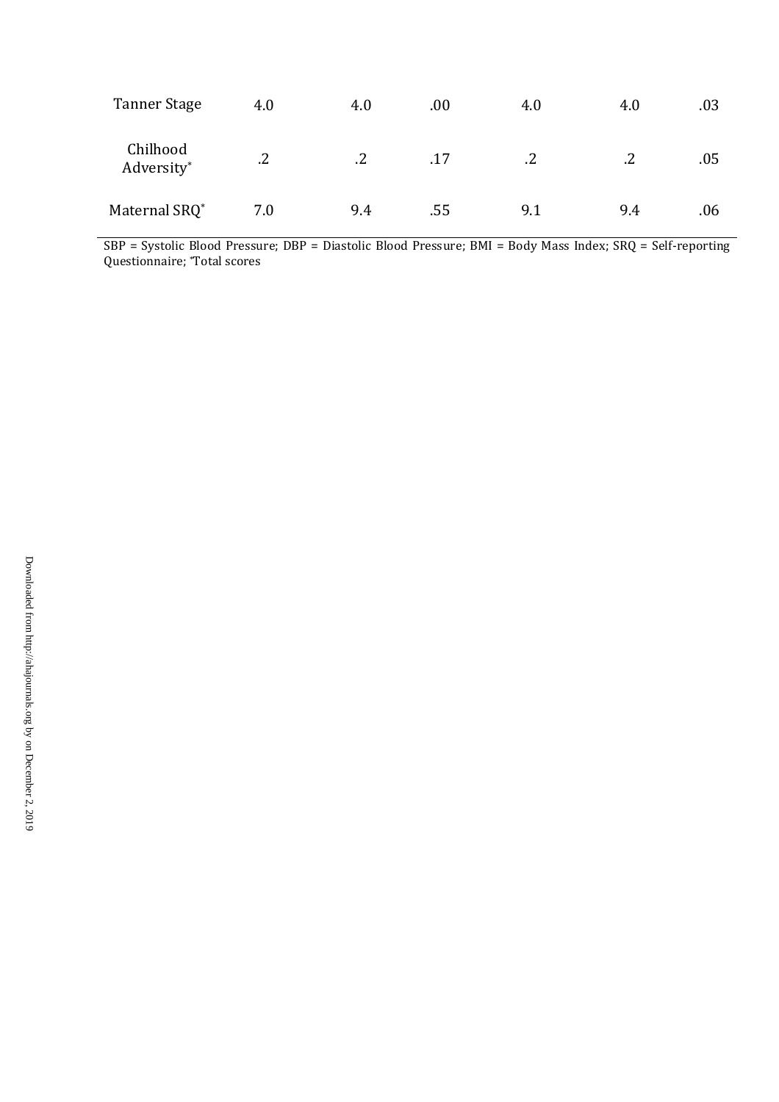| Tanner Stage           | 4.0        | 4.0     | .00 | 4.0 | 4.0        | .03 |
|------------------------|------------|---------|-----|-----|------------|-----|
| Chilhood<br>Adversity* | $\cdot$ .2 | $\cdot$ | .17 |     | $\cdot$ .2 | .05 |
| Maternal SRQ*          | 7.0        | 9.4     | .55 | 9.1 | 9.4        | .06 |

SBP = Systolic Blood Pressure; DBP = Diastolic Blood Pressure; BMI = Body Mass Index; SRQ = Self-reporting Questionnaire; \*Total scores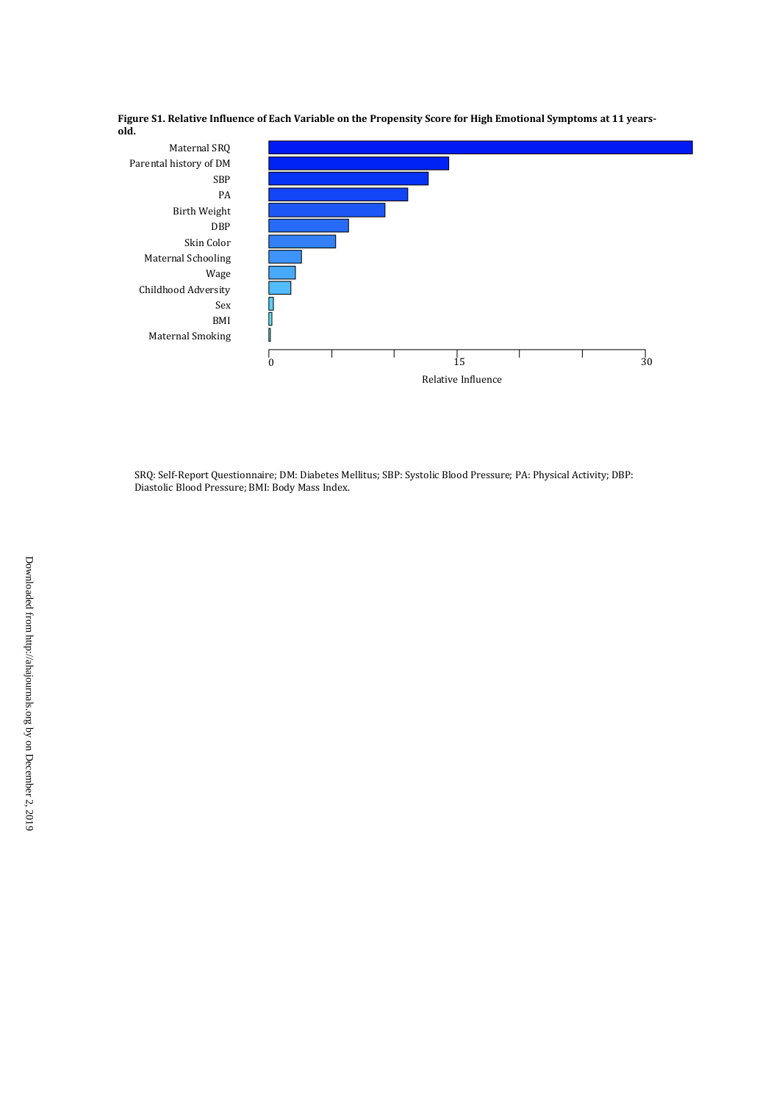



(%)

SRQ: Self-Report Questionnaire; DM: Diabetes Mellitus; SBP: Systolic Blood Pressure; PA: Physical Activity; DBP: Diastolic Blood Pressure; BMI: Body Mass Index.